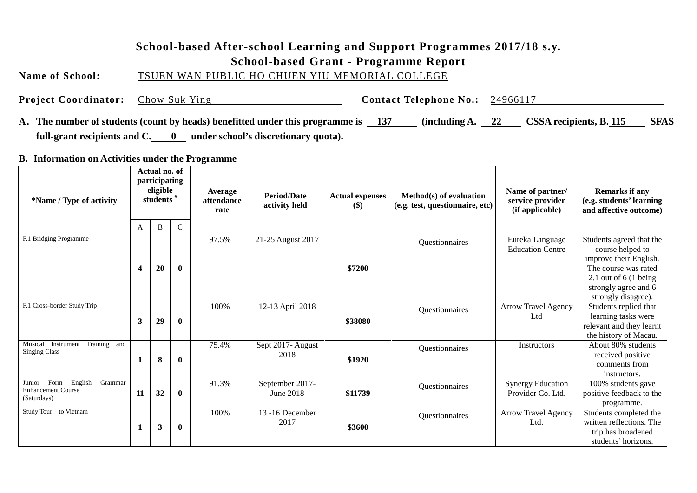#### **School-based After-school Learning and Support Programmes 2017/18 s.y.**

#### **School-based Grant - Programme Report**

**Name of School:** TSUEN WAN PUBLIC HO CHUEN YIU MEMORIAL COLLEGE

**Project Coordinator:** Chow Suk Ying **Contact Telephone No.:** 24966117

**A. The number of students (count by heads) benefitted under this programme is 137 (including A. 22 CSSA recipients, B. 115 SFAS**  full-grant recipients and C. 0 under school's discretionary quota).

**B. Information on Activities under the Programme**

| *Name / Type of activity                                                         | Actual no. of<br>participating<br>eligible<br>students $#$ |    |              | Average<br>attendance<br>rate | <b>Period/Date</b><br><b>Actual expenses</b><br>activity held<br>$($ \$ |         | Method(s) of evaluation<br>(e.g. test, questionnaire, etc) | Name of partner/<br>service provider<br>(if applicable) | <b>Remarks if any</b><br>(e.g. students' learning<br>and affective outcome)                                                                                                      |
|----------------------------------------------------------------------------------|------------------------------------------------------------|----|--------------|-------------------------------|-------------------------------------------------------------------------|---------|------------------------------------------------------------|---------------------------------------------------------|----------------------------------------------------------------------------------------------------------------------------------------------------------------------------------|
|                                                                                  | A                                                          | B  | $\mathsf{C}$ |                               |                                                                         |         |                                                            |                                                         |                                                                                                                                                                                  |
| F.1 Bridging Programme                                                           | 4                                                          | 20 | $\bf{0}$     | 97.5%                         | 21-25 August 2017                                                       | \$7200  | Questionnaires                                             | Eureka Language<br><b>Education Centre</b>              | Students agreed that the<br>course helped to<br>improve their English.<br>The course was rated<br>2.1 out of $6(1 \text{ being})$<br>strongly agree and 6<br>strongly disagree). |
| F.1 Cross-border Study Trip                                                      | 3                                                          | 29 | $\bf{0}$     | 100%                          | 12-13 April 2018                                                        | \$38080 | Questionnaires                                             | <b>Arrow Travel Agency</b><br>Ltd                       | Students replied that<br>learning tasks were<br>relevant and they learnt<br>the history of Macau.                                                                                |
| Musical<br>Training and<br>Instrument<br><b>Singing Class</b>                    | 1                                                          | 8  | $\bf{0}$     | 75.4%                         | Sept 2017-August<br>2018                                                | \$1920  | Questionnaires                                             | Instructors                                             | About 80% students<br>received positive<br>comments from<br>instructors.                                                                                                         |
| English<br>Junior<br>Form<br>Grammar<br><b>Enhancement Course</b><br>(Saturdays) | 11                                                         | 32 | $\bf{0}$     | 91.3%                         | September 2017-<br>June 2018                                            | \$11739 | Questionnaires                                             | Synergy Education<br>Provider Co. Ltd.                  | 100% students gave<br>positive feedback to the<br>programme.                                                                                                                     |
| Study Tour to Vietnam                                                            | 1                                                          | 3  | $\bf{0}$     | 100%                          | 13-16 December<br>2017                                                  | \$3600  | Questionnaires                                             | Arrow Travel Agency<br>Ltd.                             | Students completed the<br>written reflections. The<br>trip has broadened<br>students' horizons.                                                                                  |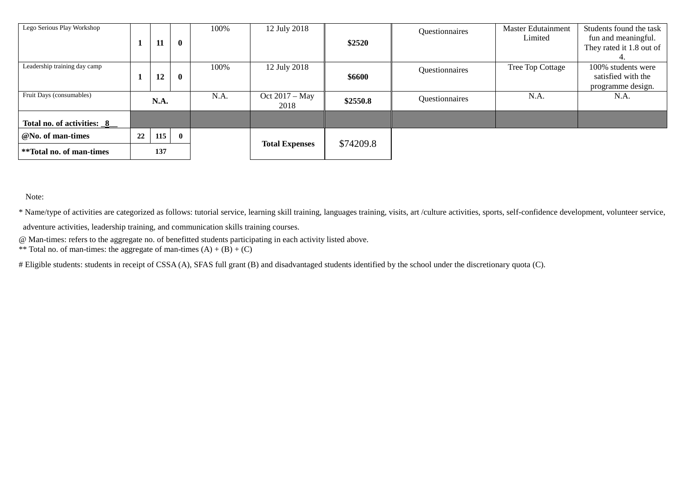| Lego Serious Play Workshop        |      | 11  | $\mathbf{0}$ | 100%                  | 12 July 2018           | \$2520   | Questionnaires | <b>Master Edutainment</b><br>Limited | Students found the task<br>fun and meaningful.<br>They rated it 1.8 out of |
|-----------------------------------|------|-----|--------------|-----------------------|------------------------|----------|----------------|--------------------------------------|----------------------------------------------------------------------------|
| Leadership training day camp      |      | 12  | $\mathbf{0}$ | 100%                  | 12 July 2018           | \$6600   | Questionnaires | Tree Top Cottage                     | 100% students were<br>satisfied with the<br>programme design.              |
| Fruit Days (consumables)          | N.A. |     |              | N.A.                  | Oct 2017 – May<br>2018 | \$2550.8 | Questionnaires | N.A.                                 | N.A.                                                                       |
| Total no. of activities: <u>8</u> |      |     |              |                       |                        |          |                |                                      |                                                                            |
| @No. of man-times                 | 22   | 115 | $\mathbf{0}$ |                       |                        |          |                |                                      |                                                                            |
| **Total no. of man-times          | 137  |     |              | <b>Total Expenses</b> | \$74209.8              |          |                |                                      |                                                                            |

Note:

\* Name/type of activities are categorized as follows: tutorial service, learning skill training, languages training, visits, art /culture activities, sports, self-confidence development, volunteer service,

adventure activities, leadership training, and communication skills training courses.

@ Man-times: refers to the aggregate no. of benefitted students participating in each activity listed above.

\*\* Total no. of man-times: the aggregate of man-times  $(A) + (B) + (C)$ 

# Eligible students: students in receipt of CSSA (A), SFAS full grant (B) and disadvantaged students identified by the school under the discretionary quota (C).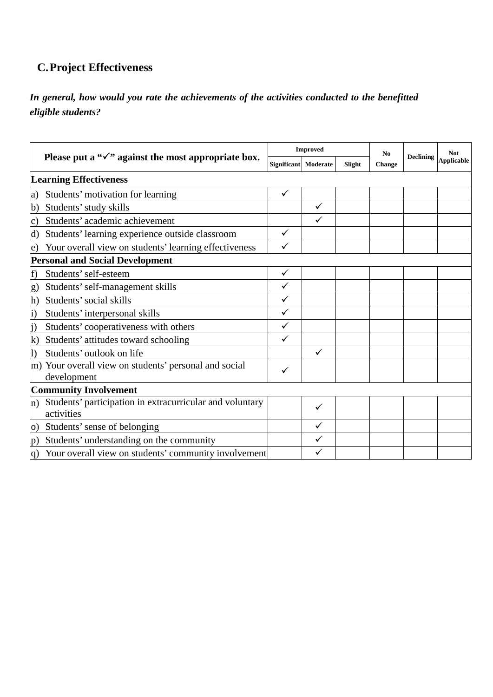## **C.Project Effectiveness**

#### *In general, how would you rate the achievements of the activities conducted to the benefitted eligible students?*

|                |                                                                        |              | <b>Improved</b>      |        | N <sub>0</sub><br><b>Change</b> | <b>Declining</b> | <b>Not</b><br><b>Applicable</b> |
|----------------|------------------------------------------------------------------------|--------------|----------------------|--------|---------------------------------|------------------|---------------------------------|
|                | Please put a " $\checkmark$ " against the most appropriate box.        |              | Significant Moderate | Slight |                                 |                  |                                 |
|                | <b>Learning Effectiveness</b>                                          |              |                      |        |                                 |                  |                                 |
| a)             | Students' motivation for learning                                      | ✓            |                      |        |                                 |                  |                                 |
| b)             | Students' study skills                                                 |              | $\checkmark$         |        |                                 |                  |                                 |
| C)             | Students' academic achievement                                         |              | $\checkmark$         |        |                                 |                  |                                 |
| d)             | Students' learning experience outside classroom                        | $\checkmark$ |                      |        |                                 |                  |                                 |
| e)             | Your overall view on students' learning effectiveness                  | ✓            |                      |        |                                 |                  |                                 |
|                | <b>Personal and Social Development</b>                                 |              |                      |        |                                 |                  |                                 |
| f)             | Students' self-esteem                                                  | $\checkmark$ |                      |        |                                 |                  |                                 |
| $\bf g)$       | Students' self-management skills                                       | ✓            |                      |        |                                 |                  |                                 |
| h)             | Students' social skills                                                | ✓            |                      |        |                                 |                  |                                 |
| $\vert i)$     | Students' interpersonal skills                                         | ✓            |                      |        |                                 |                  |                                 |
| $\mathbf{j}$   | Students' cooperativeness with others                                  | ✓            |                      |        |                                 |                  |                                 |
| $\bf k)$       | Students' attitudes toward schooling                                   | ✓            |                      |        |                                 |                  |                                 |
| $\bf{I}$       | Students' outlook on life                                              |              | $\checkmark$         |        |                                 |                  |                                 |
|                | m) Your overall view on students' personal and social<br>development   | ✓            |                      |        |                                 |                  |                                 |
|                | <b>Community Involvement</b>                                           |              |                      |        |                                 |                  |                                 |
| $n$ )          | Students' participation in extracurricular and voluntary<br>activities |              | ✓                    |        |                                 |                  |                                 |
| $\overline{O}$ | Students' sense of belonging                                           |              |                      |        |                                 |                  |                                 |
| p)             | Students' understanding on the community                               |              | ✓                    |        |                                 |                  |                                 |
|                | q) Your overall view on students' community involvement                |              |                      |        |                                 |                  |                                 |